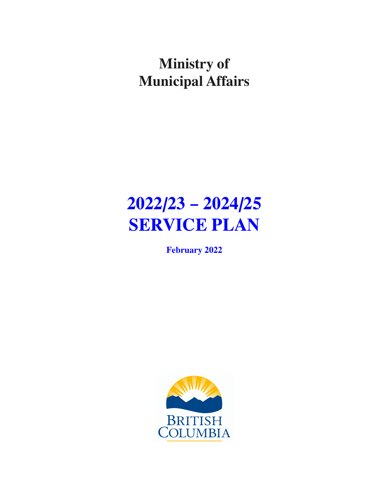## **Ministry of Municipal Affairs**

# **2022/23 – 2024/25 SERVICE PLAN**

**February 2022**

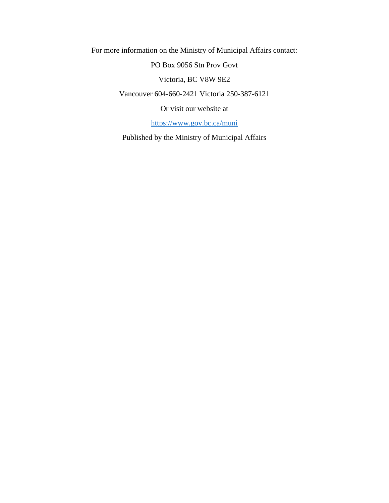For more information on the Ministry of Municipal Affairs contact:

PO Box 9056 Stn Prov Govt

Victoria, BC V8W 9E2

Vancouver 604-660-2421 Victoria 250-387-6121

Or visit our website at

[https://www.gov.bc.ca/muni](https://www2.gov.bc.ca/gov/content/governments/organizational-structure/ministries-organizations/ministries/municipal-affairs-housing)

Published by the Ministry of Municipal Affairs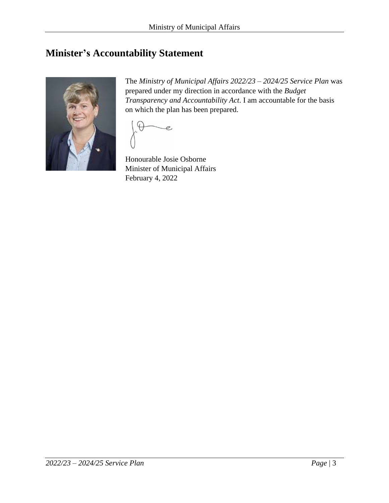## <span id="page-2-0"></span>**Minister's Accountability Statement**



The *Ministry of Municipal Affairs 2022/23 – 2024/25 Service Plan* was prepared under my direction in accordance with the *Budget Transparency and Accountability Act*. I am accountable for the basis on which the plan has been prepared.

e

Honourable Josie Osborne Minister of Municipal Affairs February 4, 2022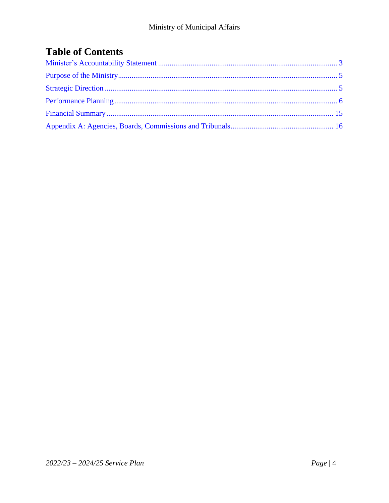## **Table of Contents**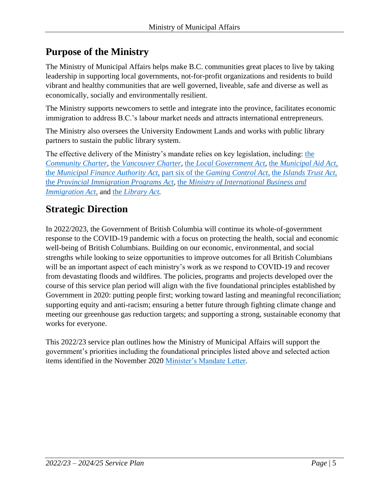## <span id="page-4-0"></span>**Purpose of the Ministry**

The Ministry of Municipal Affairs helps make B.C. communities great places to live by taking leadership in supporting local governments, not-for-profit organizations and residents to build vibrant and healthy communities that are well governed, liveable, safe and diverse as well as economically, socially and environmentally resilient.

The Ministry supports newcomers to settle and integrate into the province, facilitates economic immigration to address B.C.'s labour market needs and attracts international entrepreneurs.

The Ministry also oversees the University Endowment Lands and works with public library partners to sustain the public library system.

The effective delivery of the Ministry's mandate relies on key legislation, including: [the](https://www.bclaws.gov.bc.ca/civix/document/id/complete/statreg/03026_00)  *[Community Charter,](https://www.bclaws.gov.bc.ca/civix/document/id/complete/statreg/03026_00)* the *[Vancouver Charter,](https://www.bclaws.gov.bc.ca/civix/document/id/complete/statreg/vanch_00)* the *[Local Government Act,](https://www.bclaws.gov.bc.ca/civix/document/id/complete/statreg/r15001_00)* the *[Municipal Aid Act](https://www.bclaws.gov.bc.ca/civix/document/id/complete/statreg/00_96324_01)*, the *[Municipal Finance Authority Act](https://www.bclaws.gov.bc.ca/civix/document/id/complete/statreg/96325_01)*, part six of the *[Gaming Control Act](https://www.bclaws.gov.bc.ca/civix/document/id/complete/statreg/02014_01#part6)*, the *[Islands Trust Act](https://www.bclaws.gov.bc.ca/civix/document/id/complete/statreg/96239_01)*, the *[Provincial Immigration Programs Act](https://www.bclaws.gov.bc.ca/civix/document/id/complete/statreg/15037)*, the *[Ministry of International Business and](https://www.bclaws.gov.bc.ca/civix/document/id/complete/statreg/96304_01) [Immigration Act](https://www.bclaws.gov.bc.ca/civix/document/id/complete/statreg/96304_01)*, and the *[Library Act.](https://www.bclaws.gov.bc.ca/civix/document/id/complete/statreg/96264_01)*

## <span id="page-4-1"></span>**Strategic Direction**

In 2022/2023, the Government of British Columbia will continue its whole-of-government response to the COVID-19 pandemic with a focus on protecting the health, social and economic well-being of British Columbians. Building on our economic, environmental, and social strengths while looking to seize opportunities to improve outcomes for all British Columbians will be an important aspect of each ministry's work as we respond to COVID-19 and recover from devastating floods and wildfires. The policies, programs and projects developed over the course of this service plan period will align with the five foundational principles established by Government in 2020: putting people first; working toward lasting and meaningful reconciliation; supporting equity and anti-racism; ensuring a better future through fighting climate change and meeting our greenhouse gas reduction targets; and supporting a strong, sustainable economy that works for everyone.

This 2022/23 service plan outlines how the Ministry of Municipal Affairs will support the government's priorities including the foundational principles listed above and selected action items identified in the November 2020 [Minister's Mandate Letter.](https://news.gov.bc.ca/files/MUNI-Osborne-mandate.pdf)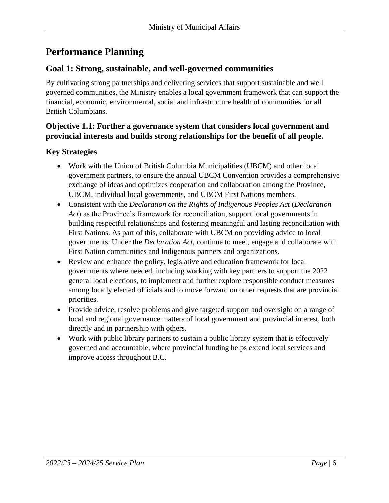## <span id="page-5-0"></span>**Performance Planning**

#### **Goal 1: Strong, sustainable, and well-governed communities**

By cultivating strong partnerships and delivering services that support sustainable and well governed communities, the Ministry enables a local government framework that can support the financial, economic, environmental, social and infrastructure health of communities for all British Columbians.

#### **Objective 1.1: Further a governance system that considers local government and provincial interests and builds strong relationships for the benefit of all people.**

- Work with the Union of British Columbia Municipalities (UBCM) and other local government partners, to ensure the annual UBCM Convention provides a comprehensive exchange of ideas and optimizes cooperation and collaboration among the Province, UBCM, individual local governments, and UBCM First Nations members.
- Consistent with the *Declaration on the Rights of Indigenous Peoples Act* (*Declaration Act*) as the Province's framework for reconciliation, support local governments in building respectful relationships and fostering meaningful and lasting reconciliation with First Nations. As part of this, collaborate with UBCM on providing advice to local governments. Under the *Declaration Act*, continue to meet, engage and collaborate with First Nation communities and Indigenous partners and organizations.
- Review and enhance the policy, legislative and education framework for local governments where needed, including working with key partners to support the 2022 general local elections, to implement and further explore responsible conduct measures among locally elected officials and to move forward on other requests that are provincial priorities.
- Provide advice, resolve problems and give targeted support and oversight on a range of local and regional governance matters of local government and provincial interest, both directly and in partnership with others.
- Work with public library partners to sustain a public library system that is effectively governed and accountable, where provincial funding helps extend local services and improve access throughout B.C.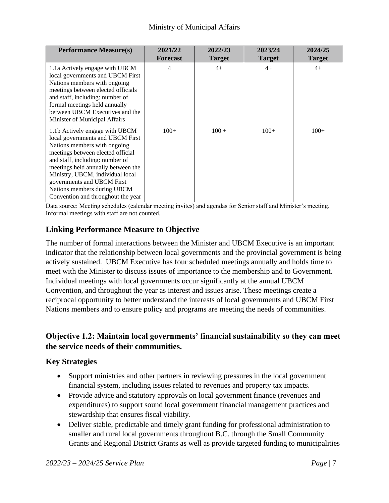| <b>Performance Measure(s)</b>                                                                                                                                                                                                                                                                                                                           | 2021/22<br><b>Forecast</b> | 2022/23<br><b>Target</b> | 2023/24<br><b>Target</b> | 2024/25<br><b>Target</b> |
|---------------------------------------------------------------------------------------------------------------------------------------------------------------------------------------------------------------------------------------------------------------------------------------------------------------------------------------------------------|----------------------------|--------------------------|--------------------------|--------------------------|
| 1.1a Actively engage with UBCM<br>local governments and UBCM First<br>Nations members with ongoing<br>meetings between elected officials<br>and staff, including: number of<br>formal meetings held annually<br>between UBCM Executives and the<br>Minister of Municipal Affairs                                                                        | 4                          | $4+$                     | $4+$                     | $4+$                     |
| 1.1b Actively engage with UBCM<br>local governments and UBCM First<br>Nations members with ongoing<br>meetings between elected official<br>and staff, including: number of<br>meetings held annually between the<br>Ministry, UBCM, individual local<br>governments and UBCM First<br>Nations members during UBCM<br>Convention and throughout the year | $100+$                     | $100 +$                  | $100+$                   | $100+$                   |

Data source: Meeting schedules (calendar meeting invites) and agendas for Senior staff and Minister's meeting. Informal meetings with staff are not counted.

#### **Linking Performance Measure to Objective**

The number of formal interactions between the Minister and UBCM Executive is an important indicator that the relationship between local governments and the provincial government is being actively sustained. UBCM Executive has four scheduled meetings annually and holds time to meet with the Minister to discuss issues of importance to the membership and to Government. Individual meetings with local governments occur significantly at the annual UBCM Convention, and throughout the year as interest and issues arise. These meetings create a reciprocal opportunity to better understand the interests of local governments and UBCM First Nations members and to ensure policy and programs are meeting the needs of communities.

#### **Objective 1.2: Maintain local governments' financial sustainability so they can meet the service needs of their communities.**

- Support ministries and other partners in reviewing pressures in the local government financial system, including issues related to revenues and property tax impacts.
- Provide advice and statutory approvals on local government finance (revenues and expenditures) to support sound local government financial management practices and stewardship that ensures fiscal viability.
- Deliver stable, predictable and timely grant funding for professional administration to smaller and rural local governments throughout B.C. through the Small Community Grants and Regional District Grants as well as provide targeted funding to municipalities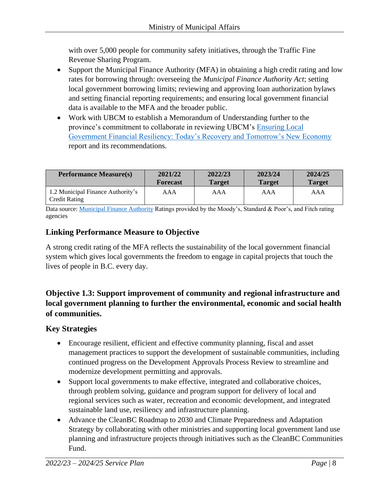with over 5,000 people for community safety initiatives, through the Traffic Fine Revenue Sharing Program.

- Support the Municipal Finance Authority (MFA) in obtaining a high credit rating and low rates for borrowing through: overseeing the *Municipal Finance Authority Act*; setting local government borrowing limits; reviewing and approving loan authorization bylaws and setting financial reporting requirements; and ensuring local government financial data is available to the MFA and the broader public.
- Work with UBCM to establish a Memorandum of Understanding further to the province's commitment to collaborate in reviewing UBCM's [Ensuring Local](https://www.ubcm.ca/sites/default/files/2021-08/UBCM%20Financial%20Resilience%20Full%202021%20August%2012_0.pdf)  [Government Financial Resiliency: Today's Recovery and Tomorrow's New Economy](https://www.ubcm.ca/sites/default/files/2021-08/UBCM%20Financial%20Resilience%20Full%202021%20August%2012_0.pdf) report and its recommendations.

| <b>Performance Measure(s)</b>                      | 2021/22         | 2022/23       | 2023/24       | 2024/25       |
|----------------------------------------------------|-----------------|---------------|---------------|---------------|
|                                                    | <b>Forecast</b> | <b>Target</b> | <b>Target</b> | <b>Target</b> |
| 1.2 Municipal Finance Authority's<br>Credit Rating | AAA             | AAA           | AAA           | AAA           |

Data source[: Municipal Finance Authority](https://mfa.bc.ca/) Ratings provided by the Moody's, Standard & Poor's, and Fitch rating agencies

#### **Linking Performance Measure to Objective**

A strong credit rating of the MFA reflects the sustainability of the local government financial system which gives local governments the freedom to engage in capital projects that touch the lives of people in B.C. every day.

#### **Objective 1.3: Support improvement of community and regional infrastructure and local government planning to further the environmental, economic and social health of communities.**

- Encourage resilient, efficient and effective community planning, fiscal and asset management practices to support the development of sustainable communities, including continued progress on the Development Approvals Process Review to streamline and modernize development permitting and approvals.
- Support local governments to make effective, integrated and collaborative choices, through problem solving, guidance and program support for delivery of local and regional services such as water, recreation and economic development, and integrated sustainable land use, resiliency and infrastructure planning.
- Advance the CleanBC Roadmap to 2030 and Climate Preparedness and Adaptation Strategy by collaborating with other ministries and supporting local government land use planning and infrastructure projects through initiatives such as the CleanBC Communities Fund.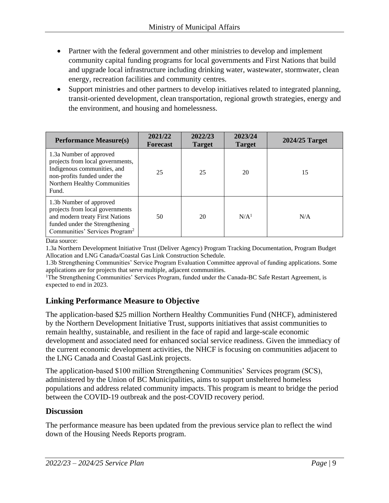- Partner with the federal government and other ministries to develop and implement community capital funding programs for local governments and First Nations that build and upgrade local infrastructure including drinking water, wastewater, stormwater, clean energy, recreation facilities and community centres.
- Support ministries and other partners to develop initiatives related to integrated planning, transit-oriented development, clean transportation, regional growth strategies, energy and the environment, and housing and homelessness.

| <b>Performance Measure(s)</b>                                                                                                                                                 | 2021/22<br><b>Forecast</b> | 2022/23<br><b>Target</b> | 2023/24<br><b>Target</b> | 2024/25 Target |
|-------------------------------------------------------------------------------------------------------------------------------------------------------------------------------|----------------------------|--------------------------|--------------------------|----------------|
| 1.3a Number of approved<br>projects from local governments,<br>Indigenous communities, and<br>non-profits funded under the<br>Northern Healthy Communities<br>Fund.           | 25                         | 25                       | 20                       | 15             |
| 1.3b Number of approved<br>projects from local governments<br>and modern treaty First Nations<br>funded under the Strengthening<br>Communities' Services Program <sup>2</sup> | 50                         | 20                       | N/A <sup>1</sup>         | N/A            |

Data source:

1.3a Northern Development Initiative Trust (Deliver Agency) Program Tracking Documentation, Program Budget Allocation and LNG Canada/Coastal Gas Link Construction Schedule.

1.3b Strengthening Communities' Service Program Evaluation Committee approval of funding applications. Some applications are for projects that serve multiple, adjacent communities.

<sup>1</sup>The Strengthening Communities' Services Program, funded under the Canada-BC Safe Restart Agreement, is expected to end in 2023.

#### **Linking Performance Measure to Objective**

The application-based \$25 million Northern Healthy Communities Fund (NHCF), administered by the Northern Development Initiative Trust, supports initiatives that assist communities to remain healthy, sustainable, and resilient in the face of rapid and large-scale economic development and associated need for enhanced social service readiness. Given the immediacy of the current economic development activities, the NHCF is focusing on communities adjacent to the LNG Canada and Coastal GasLink projects.

The application-based \$100 million Strengthening Communities' Services program (SCS), administered by the Union of BC Municipalities, aims to support unsheltered homeless populations and address related community impacts. This program is meant to bridge the period between the COVID-19 outbreak and the post-COVID recovery period.

#### **Discussion**

The performance measure has been updated from the previous service plan to reflect the wind down of the Housing Needs Reports program.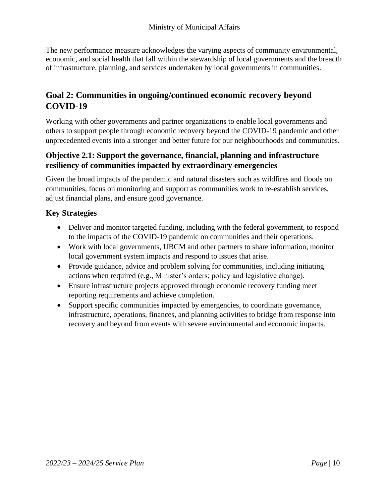The new performance measure acknowledges the varying aspects of community environmental, economic, and social health that fall within the stewardship of local governments and the breadth of infrastructure, planning, and services undertaken by local governments in communities.

#### **Goal 2: Communities in ongoing/continued economic recovery beyond COVID-19**

Working with other governments and partner organizations to enable local governments and others to support people through economic recovery beyond the COVID-19 pandemic and other unprecedented events into a stronger and better future for our neighbourhoods and communities.

#### **Objective 2.1: Support the governance, financial, planning and infrastructure resiliency of communities impacted by extraordinary emergencies**

Given the broad impacts of the pandemic and natural disasters such as wildfires and floods on communities, focus on monitoring and support as communities work to re-establish services, adjust financial plans, and ensure good governance.

- Deliver and monitor targeted funding, including with the federal government, to respond to the impacts of the COVID-19 pandemic on communities and their operations.
- Work with local governments, UBCM and other partners to share information, monitor local government system impacts and respond to issues that arise.
- Provide guidance, advice and problem solving for communities, including initiating actions when required (e.g., Minister's orders; policy and legislative change).
- Ensure infrastructure projects approved through economic recovery funding meet reporting requirements and achieve completion.
- Support specific communities impacted by emergencies, to coordinate governance, infrastructure, operations, finances, and planning activities to bridge from response into recovery and beyond from events with severe environmental and economic impacts.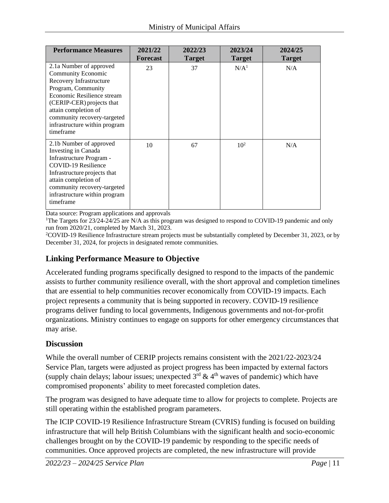| <b>Performance Measures</b>                                                                                                                                                                                                                                    | 2021/22<br><b>Forecast</b> | 2022/23<br><b>Target</b> | 2023/24<br><b>Target</b> | 2024/25<br><b>Target</b> |
|----------------------------------------------------------------------------------------------------------------------------------------------------------------------------------------------------------------------------------------------------------------|----------------------------|--------------------------|--------------------------|--------------------------|
| 2.1a Number of approved<br>Community Economic<br>Recovery Infrastructure<br>Program, Community<br>Economic Resilience stream<br>(CERIP-CER) projects that<br>attain completion of<br>community recovery-targeted<br>infrastructure within program<br>timeframe | 23                         | 37                       | N/A <sup>1</sup>         | N/A                      |
| 2.1b Number of approved<br>Investing in Canada<br>Infrastructure Program -<br>COVID-19 Resilience<br>Infrastructure projects that<br>attain completion of<br>community recovery-targeted<br>infrastructure within program<br>timeframe                         | 10                         | 67                       | 10 <sup>2</sup>          | N/A                      |

Data source: Program applications and approvals

<sup>1</sup>The Targets for 23/24-24/25 are N/A as this program was designed to respond to COVID-19 pandemic and only run from 2020/21, completed by March 31, 2023.

<sup>2</sup>COVID-19 Resilience Infrastructure stream projects must be substantially completed by December 31, 2023, or by December 31, 2024, for projects in designated remote communities.

#### **Linking Performance Measure to Objective**

Accelerated funding programs specifically designed to respond to the impacts of the pandemic assists to further community resilience overall, with the short approval and completion timelines that are essential to help communities recover economically from COVID-19 impacts. Each project represents a community that is being supported in recovery. COVID-19 resilience programs deliver funding to local governments, Indigenous governments and not-for-profit organizations. Ministry continues to engage on supports for other emergency circumstances that may arise.

#### **Discussion**

While the overall number of CERIP projects remains consistent with the 2021/22-2023/24 Service Plan, targets were adjusted as project progress has been impacted by external factors (supply chain delays; labour issues; unexpected  $3<sup>rd</sup> \& 4<sup>th</sup>$  waves of pandemic) which have compromised proponents' ability to meet forecasted completion dates.

The program was designed to have adequate time to allow for projects to complete. Projects are still operating within the established program parameters.

The ICIP COVID-19 Resilience Infrastructure Stream (CVRIS) funding is focused on building infrastructure that will help British Columbians with the significant health and socio-economic challenges brought on by the COVID-19 pandemic by responding to the specific needs of communities. Once approved projects are completed, the new infrastructure will provide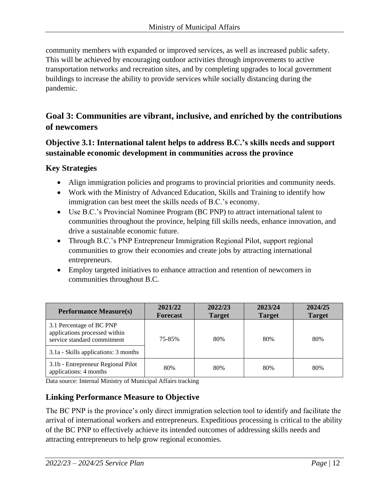community members with expanded or improved services, as well as increased public safety. This will be achieved by encouraging outdoor activities through improvements to active transportation networks and recreation sites, and by completing upgrades to local government buildings to increase the ability to provide services while socially distancing during the pandemic.

#### **Goal 3: Communities are vibrant, inclusive, and enriched by the contributions of newcomers**

#### **Objective 3.1: International talent helps to address B.C.'s skills needs and support sustainable economic development in communities across the province**

#### **Key Strategies**

- Align immigration policies and programs to provincial priorities and community needs.
- Work with the Ministry of Advanced Education, Skills and Training to identify how immigration can best meet the skills needs of B.C.'s economy.
- Use B.C.'s Provincial Nominee Program (BC PNP) to attract international talent to communities throughout the province, helping fill skills needs, enhance innovation, and drive a sustainable economic future.
- Through B.C.'s PNP Entrepreneur Immigration Regional Pilot, support regional communities to grow their economies and create jobs by attracting international entrepreneurs.
- Employ targeted initiatives to enhance attraction and retention of newcomers in communities throughout B.C.

| <b>Performance Measure(s)</b>                                                            | 2021/22<br><b>Forecast</b> | 2022/23<br><b>Target</b> | 2023/24<br><b>Target</b> | 2024/25<br><b>Target</b> |
|------------------------------------------------------------------------------------------|----------------------------|--------------------------|--------------------------|--------------------------|
| 3.1 Percentage of BC PNP<br>applications processed within<br>service standard commitment | 75-85%                     | 80%                      | 80%                      | 80%                      |
| 3.1a - Skills applications: 3 months                                                     |                            |                          |                          |                          |
| 3.1b - Entrepreneur Regional Pilot<br>applications: 4 months                             | 80%                        | 80%                      | 80%                      | 80%                      |

Data source: Internal Ministry of Municipal Affairs tracking

#### **Linking Performance Measure to Objective**

The BC PNP is the province's only direct immigration selection tool to identify and facilitate the arrival of international workers and entrepreneurs. Expeditious processing is critical to the ability of the BC PNP to effectively achieve its intended outcomes of addressing skills needs and attracting entrepreneurs to help grow regional economies.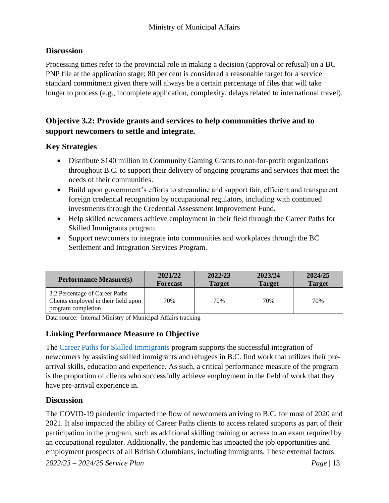#### **Discussion**

Processing times refer to the provincial role in making a decision (approval or refusal) on a BC PNP file at the application stage; 80 per cent is considered a reasonable target for a service standard commitment given there will always be a certain percentage of files that will take longer to process (e.g., incomplete application, complexity, delays related to international travel).

#### **Objective 3.2: Provide grants and services to help communities thrive and to support newcomers to settle and integrate.**

#### **Key Strategies**

- Distribute \$140 million in Community Gaming Grants to not-for-profit organizations throughout B.C. to support their delivery of ongoing programs and services that meet the needs of their communities.
- Build upon government's efforts to streamline and support fair, efficient and transparent foreign credential recognition by occupational regulators, including with continued investments through the Credential Assessment Improvement Fund.
- Help skilled newcomers achieve employment in their field through the Career Paths for Skilled Immigrants program.
- Support new comers to integrate into communities and workplaces through the BC Settlement and Integration Services Program.

| <b>Performance Measure(s)</b>                                                                | 2021/22         | 2022/23       | 2023/24       | 2024/25       |
|----------------------------------------------------------------------------------------------|-----------------|---------------|---------------|---------------|
|                                                                                              | <b>Forecast</b> | <b>Target</b> | <b>Target</b> | <b>Target</b> |
| 3.2 Percentage of Career Paths<br>Clients employed in their field upon<br>program completion | 70%             | 70%           | 70%           | 70%           |

Data source: Internal Ministry of Municipal Affairs tracking

#### **Linking Performance Measure to Objective**

The [Career Paths for Skilled Immigrants](https://www.welcomebc.ca/Work-or-Study-in-B-C/Work-in-B-C/Employment-Language-Programs) program supports the successful integration of newcomers by assisting skilled immigrants and refugees in B.C. find work that utilizes their prearrival skills, education and experience. As such, a critical performance measure of the program is the proportion of clients who successfully achieve employment in the field of work that they have pre-arrival experience in.

#### **Discussion**

The COVID-19 pandemic impacted the flow of newcomers arriving to B.C. for most of 2020 and 2021. It also impacted the ability of Career Paths clients to access related supports as part of their participation in the program, such as additional skilling training or access to an exam required by an occupational regulator. Additionally, the pandemic has impacted the job opportunities and employment prospects of all British Columbians, including immigrants. These external factors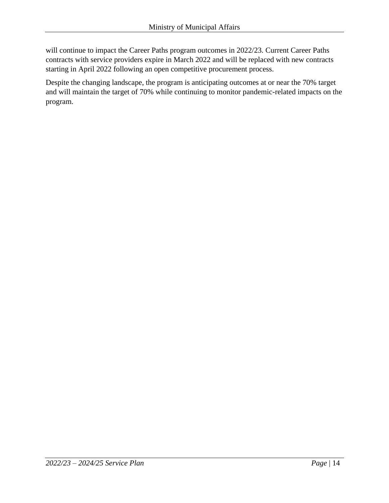will continue to impact the Career Paths program outcomes in 2022/23. Current Career Paths contracts with service providers expire in March 2022 and will be replaced with new contracts starting in April 2022 following an open competitive procurement process.

Despite the changing landscape, the program is anticipating outcomes at or near the 70% target and will maintain the target of 70% while continuing to monitor pandemic-related impacts on the program.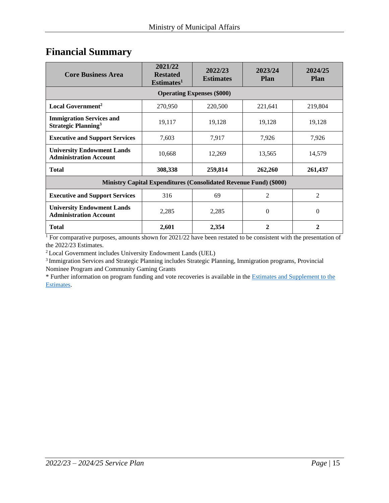### <span id="page-14-0"></span>**Financial Summary**

| <b>Core Business Area</b>                                                | 2021/22<br><b>Restated</b><br>Estimates <sup>1</sup> | 2022/23<br><b>Estimates</b>       | 2023/24<br><b>Plan</b> | 2024/25<br><b>Plan</b> |  |
|--------------------------------------------------------------------------|------------------------------------------------------|-----------------------------------|------------------------|------------------------|--|
|                                                                          |                                                      | <b>Operating Expenses (\$000)</b> |                        |                        |  |
| Local Government <sup>2</sup>                                            | 270,950                                              | 220,500                           | 221,641                | 219,804                |  |
| <b>Immigration Services and</b><br><b>Strategic Planning<sup>3</sup></b> | 19,117                                               | 19,128                            | 19,128                 | 19,128                 |  |
| <b>Executive and Support Services</b>                                    | 7,603                                                | 7,917                             | 7,926                  | 7,926                  |  |
| <b>University Endowment Lands</b><br><b>Administration Account</b>       | 10,668                                               | 12,269                            | 13,565                 | 14,579                 |  |
| <b>Total</b>                                                             | 308,338                                              | 259,814                           | 262,260                | 261,437                |  |
| <b>Ministry Capital Expenditures (Consolidated Revenue Fund) (\$000)</b> |                                                      |                                   |                        |                        |  |
| <b>Executive and Support Services</b>                                    | 316                                                  | 69                                | 2                      | $\overline{2}$         |  |
| <b>University Endowment Lands</b><br><b>Administration Account</b>       | 2,285                                                | 2,285                             | $\Omega$               | $\Omega$               |  |
| <b>Total</b>                                                             | 2,601                                                | 2,354                             | 2                      | $\mathbf{2}$           |  |

<sup>1</sup> For comparative purposes, amounts shown for 2021/22 have been restated to be consistent with the presentation of the 2022/23 Estimates.

<sup>2</sup> Local Government includes University Endowment Lands (UEL)

<sup>3</sup>Immigration Services and Strategic Planning includes Strategic Planning, Immigration programs, Provincial Nominee Program and Community Gaming Grants

\* Further information on program funding and vote recoveries is available in th[e Estimates and Supplement to the](http://www.bcbudget.gov.bc.ca/)  [Estimates.](http://www.bcbudget.gov.bc.ca/)